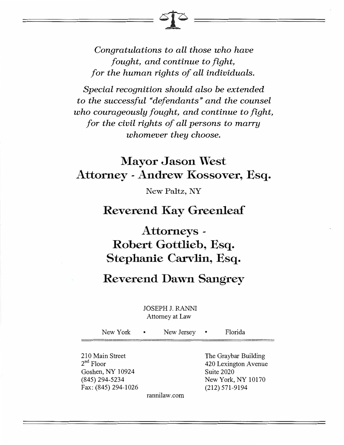*Congratulations to all those who have fought, and continue to fight, for the human rights of all individuals.* 

*Special recognition should also be extended to the successful "defendants" and the counsel who courageously fought, and continue to fight, for the civil rights of all persons to marry whomever they choose.* 

## **Mayor Jason West Attorney - Andrew Kossover, Esq.**

New Paltz, NY

## **Reverend Kay Greenleaf**

# **Attorneys Robert Gottlieb, Esq. Stephanie Carvlin, Esq.**

## **Reverend Dawn Sangrey**

#### JOSEPH J. RANNI Attorney at Law

New York • New Jersey • Florida 210 Main Street 2<sup>nd</sup> Floor Goshen, NY 10924 (845) 294-5234 Fax: (845) 294-1026 rannilaw.com The Graybar Building 420 Lexington Avenue Suite 2020 New York, NY 10170 (212) 571-9194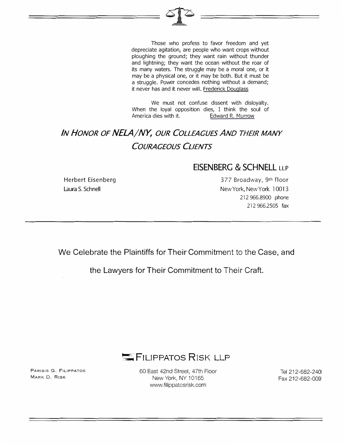Those who profess to favor freedom and yet depreciate agitation, are people who want crops without ploughing the ground; they want rain without thunder and lightning; they want the ocean without the roar of its many waters. The struggle may be a moral one, or it may be a physical one, or it may be both. But it must be a struggle. Power concedes nothing without a demand; it never has and it never will. Frederick Douglass

We must not confuse dissent with disloyalty. When the loyal opposition dies, I think the soul of America dies with it. **Edward R. Murrow** 

## *IN HONOR OF NELA/NY, OUR COLLEAGUES AND THEIR MANY COURAGEOUS CLIENTS*

#### **EISENBERG & SCHNELL LLP**

Herbert Eisenberg Laura S. Schnell

3 77 Broadway, 9th floor New York, New York l 0013 212 966.8900 phone 212 966.2505 fax

We Celebrate the Plaintiffs for Their Commitment to the Case, and

the Lawyers for Their Commitment to Their Craft.



PARISIS G. FILIPPATOS MARK D. RISK

60 East 42nd Street, 47th Floor New York, NY 10165 www.filippatosrisk.com

Tel 212-682-240( Fax 212-682-oog·